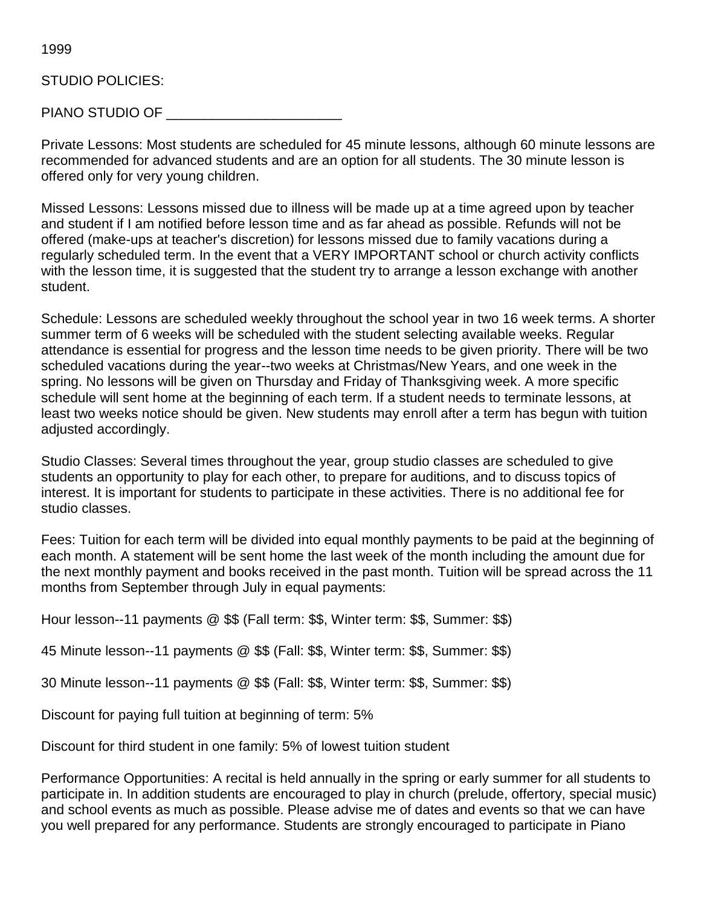1999

## STUDIO POLICIES:

PIANO STUDIO OF \_\_\_\_\_\_\_\_\_\_\_\_\_\_\_\_\_\_\_\_\_\_\_

Private Lessons: Most students are scheduled for 45 minute lessons, although 60 minute lessons are recommended for advanced students and are an option for all students. The 30 minute lesson is offered only for very young children.

Missed Lessons: Lessons missed due to illness will be made up at a time agreed upon by teacher and student if I am notified before lesson time and as far ahead as possible. Refunds will not be offered (make-ups at teacher's discretion) for lessons missed due to family vacations during a regularly scheduled term. In the event that a VERY IMPORTANT school or church activity conflicts with the lesson time, it is suggested that the student try to arrange a lesson exchange with another student.

Schedule: Lessons are scheduled weekly throughout the school year in two 16 week terms. A shorter summer term of 6 weeks will be scheduled with the student selecting available weeks. Regular attendance is essential for progress and the lesson time needs to be given priority. There will be two scheduled vacations during the year--two weeks at Christmas/New Years, and one week in the spring. No lessons will be given on Thursday and Friday of Thanksgiving week. A more specific schedule will sent home at the beginning of each term. If a student needs to terminate lessons, at least two weeks notice should be given. New students may enroll after a term has begun with tuition adjusted accordingly.

Studio Classes: Several times throughout the year, group studio classes are scheduled to give students an opportunity to play for each other, to prepare for auditions, and to discuss topics of interest. It is important for students to participate in these activities. There is no additional fee for studio classes.

Fees: Tuition for each term will be divided into equal monthly payments to be paid at the beginning of each month. A statement will be sent home the last week of the month including the amount due for the next monthly payment and books received in the past month. Tuition will be spread across the 11 months from September through July in equal payments:

Hour lesson--11 payments @ \$\$ (Fall term: \$\$, Winter term: \$\$, Summer: \$\$)

45 Minute lesson--11 payments @ \$\$ (Fall: \$\$, Winter term: \$\$, Summer: \$\$)

30 Minute lesson--11 payments @ \$\$ (Fall: \$\$, Winter term: \$\$, Summer: \$\$)

Discount for paying full tuition at beginning of term: 5%

Discount for third student in one family: 5% of lowest tuition student

Performance Opportunities: A recital is held annually in the spring or early summer for all students to participate in. In addition students are encouraged to play in church (prelude, offertory, special music) and school events as much as possible. Please advise me of dates and events so that we can have you well prepared for any performance. Students are strongly encouraged to participate in Piano